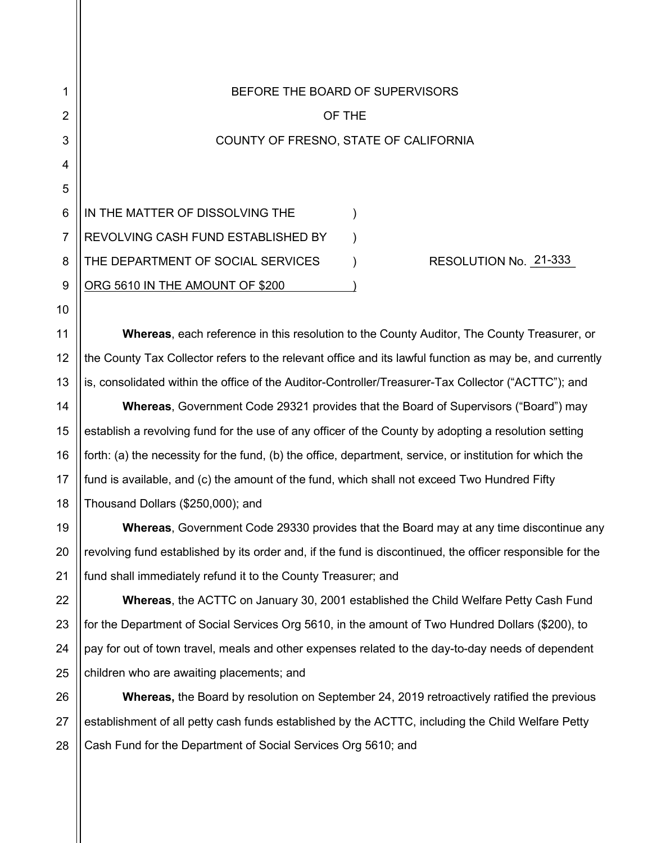| 1              | BEFORE THE BOARD OF SUPERVISORS                                                                           |
|----------------|-----------------------------------------------------------------------------------------------------------|
| $\overline{2}$ | OF THE                                                                                                    |
| 3              | COUNTY OF FRESNO, STATE OF CALIFORNIA                                                                     |
| 4              |                                                                                                           |
| 5              |                                                                                                           |
| 6              | IN THE MATTER OF DISSOLVING THE                                                                           |
| 7              | REVOLVING CASH FUND ESTABLISHED BY                                                                        |
| 8              | RESOLUTION No. 21-333<br>THE DEPARTMENT OF SOCIAL SERVICES                                                |
| 9              | ORG 5610 IN THE AMOUNT OF \$200                                                                           |
| 10             |                                                                                                           |
| 11             | <b>Whereas, each reference in this resolution to the County Auditor, The County Treasurer, or</b>         |
| 12             | the County Tax Collector refers to the relevant office and its lawful function as may be, and currently   |
| 13             | is, consolidated within the office of the Auditor-Controller/Treasurer-Tax Collector ("ACTTC"); and       |
| 14             | <b>Whereas, Government Code 29321 provides that the Board of Supervisors ("Board") may</b>                |
| 15             | establish a revolving fund for the use of any officer of the County by adopting a resolution setting      |
| 16             | forth: (a) the necessity for the fund, (b) the office, department, service, or institution for which the  |
| 17             | fund is available, and (c) the amount of the fund, which shall not exceed Two Hundred Fifty               |
| 18             | Thousand Dollars (\$250,000); and                                                                         |
| 19             | Whereas, Government Code 29330 provides that the Board may at any time discontinue any                    |
| 20             | revolving fund established by its order and, if the fund is discontinued, the officer responsible for the |
| 21             | fund shall immediately refund it to the County Treasurer; and                                             |
| 22             | <b>Whereas, the ACTTC on January 30, 2001 established the Child Welfare Petty Cash Fund</b>               |
| 23             | for the Department of Social Services Org 5610, in the amount of Two Hundred Dollars (\$200), to          |
| 24             | pay for out of town travel, meals and other expenses related to the day-to-day needs of dependent         |
| 25             | children who are awaiting placements; and                                                                 |
| 26             | <b>Whereas, the Board by resolution on September 24, 2019 retroactively ratified the previous</b>         |
| 27             | establishment of all petty cash funds established by the ACTTC, including the Child Welfare Petty         |

28 Cash Fund for the Department of Social Services Org 5610; and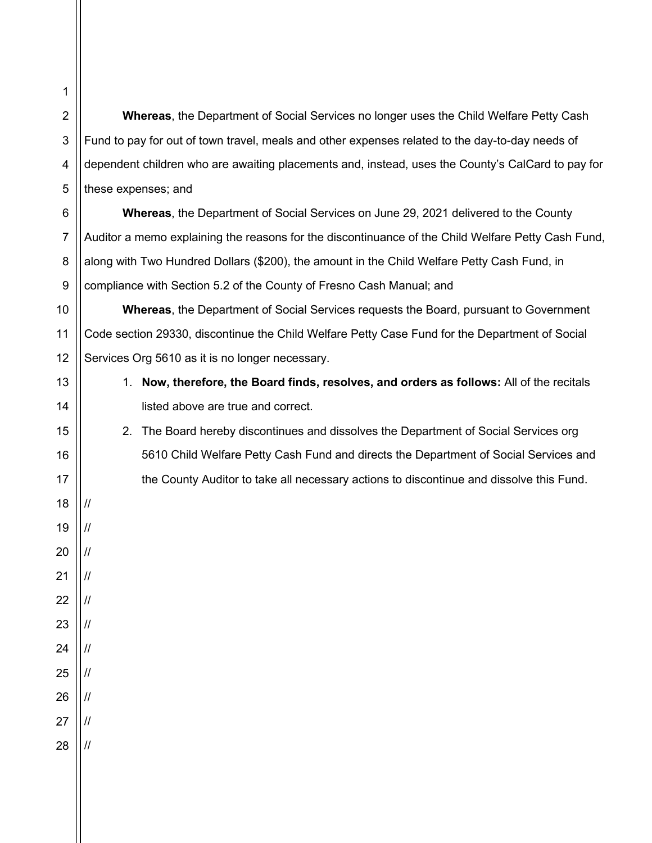**Whereas**, the Department of Social Services no longer uses the Child Welfare Petty Cash Fund to pay for out of town travel, meals and other expenses related to the day-to-day needs of dependent children who are awaiting placements and, instead, uses the County's CalCard to pay for these expenses; and

**Whereas**, the Department of Social Services on June 29, 2021 delivered to the County Auditor a memo explaining the reasons for the discontinuance of the Child Welfare Petty Cash Fund, along with Two Hundred Dollars (\$200), the amount in the Child Welfare Petty Cash Fund, in compliance with Section 5.2 of the County of Fresno Cash Manual; and

**Whereas**, the Department of Social Services requests the Board, pursuant to Government Code section 29330, discontinue the Child Welfare Petty Case Fund for the Department of Social Services Org 5610 as it is no longer necessary.

- 1. **Now, therefore, the Board finds, resolves, and orders as follows:** All of the recitals listed above are true and correct.
- 2. The Board hereby discontinues and dissolves the Department of Social Services org 5610 Child Welfare Petty Cash Fund and directs the Department of Social Services and the County Auditor to take all necessary actions to discontinue and dissolve this Fund.

17

18

//

//

//

//

//

//

//

//

//

//

//

19

20

21

22

23

24

25

26

27

28

1